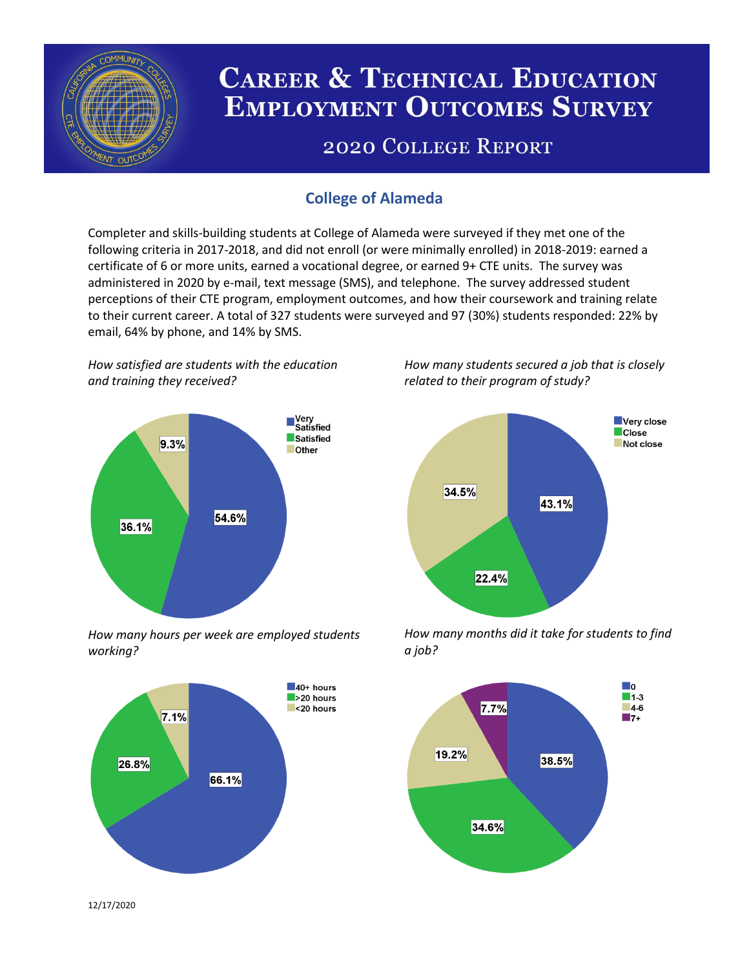

# **CAREER & TECHNICAL EDUCATION EMPLOYMENT OUTCOMES SURVEY**

## **2020 COLLEGE REPORT**

## **College of Alameda**

Completer and skills-building students at College of Alameda were surveyed if they met one of the following criteria in 2017-2018, and did not enroll (or were minimally enrolled) in 2018-2019: earned a certificate of 6 or more units, earned a vocational degree, or earned 9+ CTE units. The survey was administered in 2020 by e-mail, text message (SMS), and telephone. The survey addressed student perceptions of their CTE program, employment outcomes, and how their coursework and training relate to their current career. A total of 327 students were surveyed and 97 (30%) students responded: 22% by email, 64% by phone, and 14% by SMS.

*How satisfied are students with the education and training they received?*



*How many hours per week are employed students working?*



*How many students secured a job that is closely related to their program of study?*



*How many months did it take for students to find a job?*